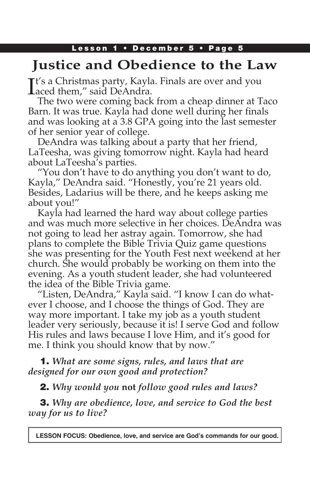# **Justice and Obedience to the Law**

It's a Christmas party, Kayla<br>Laced them," said DeAndra.  $\mathbf{T}$ t's a Christmas party, Kayla. Finals are over and you

The two were coming back from a cheap dinner at Taco Barn. It was true. Kayla had done well during her finals and was looking at a 3.8 GPA going into the last semester of her senior year of college.

DeAndra was talking about a party that her friend, LaTeesha, was giving tomorrow night. Kayla had heard about LaTeesha's parties.

"You don't have to do anything you don't want to do, Kayla," DeAndra said. "Honestly, you're 21 years old. Besides, Ladarius will be there, and he keeps asking me about you!"

Kayla had learned the hard way about college parties and was much more selective in her choices. DeAndra was not going to lead her astray again. Tomorrow, she had plans to complete the Bible Trivia Quiz game questions she was presenting for the Youth Fest next weekend at her church. She would probably be working on them into the evening. As a youth student leader, she had volunteered the idea of the Bible Trivia game.

"Listen, DeAndra," Kayla said. "I know I can do whatever I choose, and I choose the things of God. They are way more important. I take my job as a youth student leader very seriously, because it is! I serve God and follow His rules and laws because I love Him, and it's good for me. I think you should know that by now."

1. *What are some signs, rules, and laws that are designed for our own good and protection?*

2. *Why would you* **not** *follow good rules and laws?*

3. *Why are obedience, love, and service to God the best way for us to live?*

**LESSON FOCUS: Obedience, love, and service are God's commands for our good.**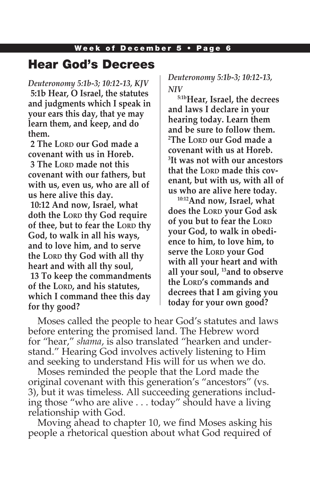### Hear God's Decrees

*Deuteronomy 5:1b-3; 10:12-13, KJV* **5:1b Hear, O Israel, the statutes and judgments which I speak in your ears this day, that ye may learn them, and keep, and do them.**

**2 The Lord our God made a covenant with us in Horeb. 3 The Lord made not this covenant with our fathers, but with us, even us, who are all of us here alive this day. 10:12 And now, Israel, what doth the LORD thy God require of thee, but to fear the LORD thy God, to walk in all his ways, and to love him, and to serve the LORD thy God with all thy heart and with all thy soul, 13 To keep the commandments of the Lord, and his statutes, which I command thee this day for thy good?**

*Deuteronomy 5:1b-3; 10:12-13, NIV* 

**5:1bHear, Israel, the decrees and laws I declare in your hearing today. Learn them and be sure to follow them. 2 The Lord our God made a covenant with us at Horeb. 3 It was not with our ancestors**  that the LORD made this cov**enant, but with us, with all of us who are alive here today.**

**10:12And now, Israel, what does the Lord your God ask of you but to fear the LORD your God, to walk in obedience to him, to love him, to serve the Lord your God with all your heart and with all your soul, 13and to observe the Lord's commands and decrees that I am giving you today for your own good?**

Moses called the people to hear God's statutes and laws before entering the promised land. The Hebrew word for "hear," *shama*, is also translated "hearken and understand." Hearing God involves actively listening to Him and seeking to understand His will for us when we do.

Moses reminded the people that the Lord made the original covenant with this generation's "ancestors" (vs. 3), but it was timeless. All succeeding generations including those "who are alive . . . today" should have a living relationship with God.

Moving ahead to chapter 10, we find Moses asking his people a rhetorical question about what God required of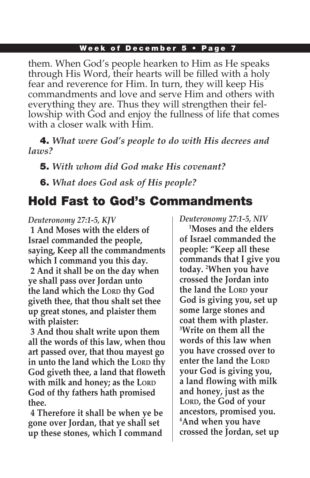them. When God's people hearken to Him as He speaks through His Word, their hearts will be filled with a holy fear and reverence for Him. In turn, they will keep His commandments and love and serve Him and others with everything they are. Thus they will strengthen their fellowship with God and enjoy the fullness of life that comes with a closer walk with Him.

4. *What were God's people to do with His decrees and laws?*

5. *With whom did God make His covenant?*

6. *What does God ask of His people?*

## Hold Fast to God's Commandments

*Deuteronomy 27:1-5, KJV*  **1 And Moses with the elders of Israel commanded the people, saying, Keep all the commandments which I command you this day. 2 And it shall be on the day when ye shall pass over Jordan unto the land which the LORD thy God giveth thee, that thou shalt set thee up great stones, and plaister them with plaister:**

**3 And thou shalt write upon them all the words of this law, when thou art passed over, that thou mayest go in unto the land which the LORD thy God giveth thee, a land that floweth with milk and honey; as the LORD God of thy fathers hath promised thee.**

**4 Therefore it shall be when ye be gone over Jordan, that ye shall set up these stones, which I command**  *Deuteronomy 27:1-5, NIV* 

**1 Moses and the elders of Israel commanded the people: "Keep all these commands that I give you today. 2 When you have crossed the Jordan into the land the LORD your God is giving you, set up some large stones and coat them with plaster. 3 Write on them all the words of this law when you have crossed over to enter the land the LORD your God is giving you, a land flowing with milk and honey, just as the Lord, the God of your ancestors, promised you. 4 And when you have crossed the Jordan, set up**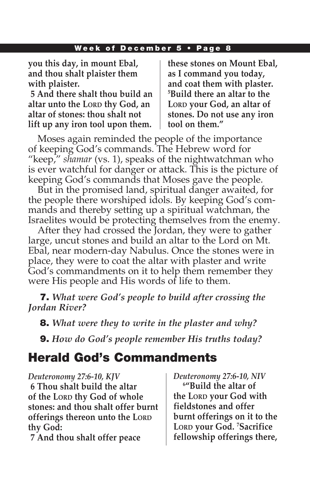**you this day, in mount Ebal, and thou shalt plaister them with plaister.**

**5 And there shalt thou build an altar unto the LORD thy God, an altar of stones: thou shalt not lift up any iron tool upon them.**

**these stones on Mount Ebal, as I command you today, and coat them with plaster. 5 Build there an altar to the**  LORD your God, an altar of **stones. Do not use any iron tool on them."**

Moses again reminded the people of the importance of keeping God's commands. The Hebrew word for "keep," *shamar* (vs. 1), speaks of the nightwatchman who is ever watchful for danger or attack. This is the picture of keeping God's commands that Moses gave the people.

But in the promised land, spiritual danger awaited, for the people there worshiped idols. By keeping God's commands and thereby setting up a spiritual watchman, the Israelites would be protecting themselves from the enemy.

After they had crossed the Jordan, they were to gather large, uncut stones and build an altar to the Lord on Mt. Ebal, near modern-day Nabulus. Once the stones were in place, they were to coat the altar with plaster and write God's commandments on it to help them remember they were His people and His words of life to them.

7. *What were God's people to build after crossing the Jordan River?* 

8. *What were they to write in the plaster and why?*

9. *How do God's people remember His truths today?*

# Herald God's Commandments

*Deuteronomy 27:6-10, KJV* **6 Thou shalt build the altar of the Lord thy God of whole stones: and thou shalt offer burnt offerings thereon unto the LORD thy God:**

**7 And thou shalt offer peace** 

*Deuteronomy 27:6-10, NIV* **6 "Build the altar of the Lord your God with fieldstones and offer burnt offerings on it to the Lord your God. 7 Sacrifice fellowship offerings there,**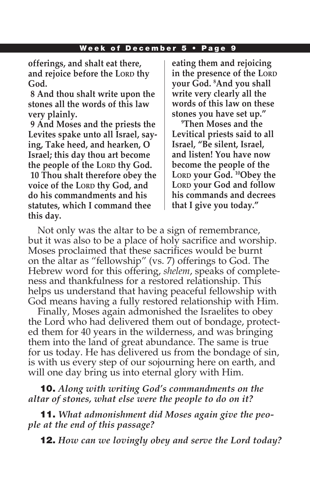**offerings, and shalt eat there,**  and rejoice before the LORD thy **God.**

**8 And thou shalt write upon the stones all the words of this law very plainly.**

**9 And Moses and the priests the Levites spake unto all Israel, saying, Take heed, and hearken, O Israel; this day thou art become the people of the LORD thy God. 10 Thou shalt therefore obey the voice of the LORD thy God, and do his commandments and his statutes, which I command thee this day.**

**eating them and rejoicing in the presence of the LORD your God. 8 And you shall write very clearly all the words of this law on these stones you have set up."**

**9 Then Moses and the Levitical priests said to all Israel, "Be silent, Israel, and listen! You have now become the people of the**  LORD **your God.** <sup>10</sup>Obey the LORD your God and follow **his commands and decrees that I give you today."** 

Not only was the altar to be a sign of remembrance, but it was also to be a place of holy sacrifice and worship. Moses proclaimed that these sacrifices would be burnt on the altar as "fellowship" (vs. 7) offerings to God. The Hebrew word for this offering, *shelem*, speaks of completeness and thankfulness for a restored relationship. This helps us understand that having peaceful fellowship with God means having a fully restored relationship with Him.

Finally, Moses again admonished the Israelites to obey the Lord who had delivered them out of bondage, protected them for 40 years in the wilderness, and was bringing them into the land of great abundance. The same is true for us today. He has delivered us from the bondage of sin, is with us every step of our sojourning here on earth, and will one day bring us into eternal glory with Him.

10. *Along with writing God's commandments on the altar of stones, what else were the people to do on it?*

11. *What admonishment did Moses again give the people at the end of this passage?*

12. *How can we lovingly obey and serve the Lord today?*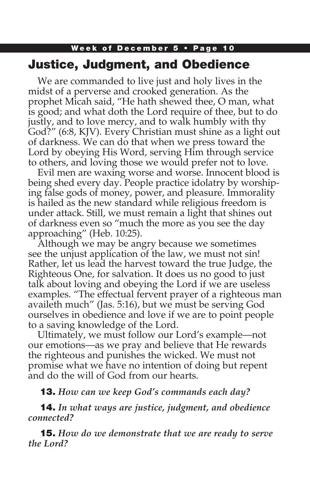### Week of December 5 • Page 10 Justice, Judgment, and Obedience

We are commanded to live just and holy lives in the midst of a perverse and crooked generation. As the prophet Micah said, "He hath shewed thee, O man, what is good; and what doth the Lord require of thee, but to do justly, and to love mercy, and to walk humbly with thy God?" (6:8, KJV). Every Christian must shine as a light out of darkness. We can do that when we press toward the Lord by obeying His Word, serving Him through service to others, and loving those we would prefer not to love.

Evil men are waxing worse and worse. Innocent blood is being shed every day. People practice idolatry by worshiping false gods of money, power, and pleasure. Immorality is hailed as the new standard while religious freedom is under attack. Still, we must remain a light that shines out of darkness even so "much the more as you see the day approaching" (Heb. 10:25).

Although we may be angry because we sometimes see the unjust application of the law, we must not sin! Rather, let us lead the harvest toward the true Judge, the Righteous One, for salvation. It does us no good to just talk about loving and obeying the Lord if we are useless examples. "The effectual fervent prayer of a righteous man availeth much" (Jas. 5:16), but we must be serving God ourselves in obedience and love if we are to point people to a saving knowledge of the Lord.

Ultimately, we must follow our Lord's example—not our emotions—as we pray and believe that He rewards the righteous and punishes the wicked. We must not promise what we have no intention of doing but repent and do the will of God from our hearts.

### 13. *How can we keep God's commands each day?*

14. *In what ways are justice, judgment, and obedience connected?*

15. *How do we demonstrate that we are ready to serve the Lord?*